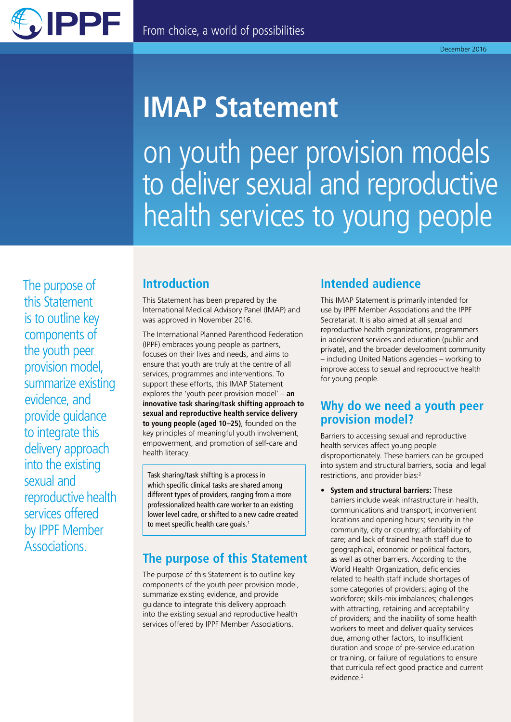

# **IMAP Statement**

on youth peer provision models to deliver sexual and reproductive health services to young people

The purpose of this Statement is to outline key components of the youth peer provision model, summarize existing evidence, and provide guidance to integrate this delivery approach into the existing sexual and reproductive health services offered by IPPF Member Associations.

### **Introduction**

This Statement has been prepared by the International Medical Advisory Panel (IMAP) and was approved in November 2016.

The International Planned Parenthood Federation (IPPF) embraces young people as partners, focuses on their lives and needs, and aims to ensure that youth are truly at the centre of all services, programmes and interventions. To support these efforts, this IMAP Statement explores the 'youth peer provision model' – **an innovative task sharing/task shifting approach to sexual and reproductive health service delivery to young people (aged 10–25)**, founded on the key principles of meaningful youth involvement, empowerment, and promotion of self-care and health literacy.

Task sharing/task shifting is a process in which specific clinical tasks are shared among different types of providers, ranging from a more professionalized health care worker to an existing lower level cadre, or shifted to a new cadre created to meet specific health care goals.<sup>1</sup>

### **The purpose of this Statement**

The purpose of this Statement is to outline key components of the youth peer provision model, summarize existing evidence, and provide guidance to integrate this delivery approach into the existing sexual and reproductive health services offered by IPPF Member Associations.

### **Intended audience**

This IMAP Statement is primarily intended for use by IPPF Member Associations and the IPPF Secretariat. It is also aimed at all sexual and reproductive health organizations, programmers in adolescent services and education (public and private), and the broader development community – including United Nations agencies – working to improve access to sexual and reproductive health for young people.

### **Why do we need a youth peer provision model?**

Barriers to accessing sexual and reproductive health services affect young people disproportionately. These barriers can be grouped into system and structural barriers, social and legal restrictions, and provider bias:2

**• System and structural barriers:** These barriers include weak infrastructure in health, communications and transport; inconvenient locations and opening hours; security in the community, city or country; affordability of care; and lack of trained health staff due to geographical, economic or political factors, as well as other barriers. According to the World Health Organization, deficiencies related to health staff include shortages of some categories of providers; aging of the workforce; skills-mix imbalances; challenges with attracting, retaining and acceptability of providers; and the inability of some health workers to meet and deliver quality services due, among other factors, to insufficient duration and scope of pre‑service education or training, or failure of regulations to ensure that curricula reflect good practice and current evidence.3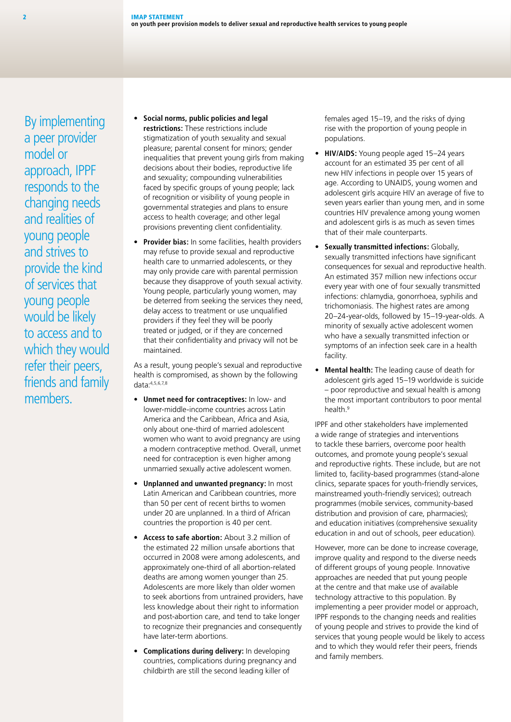By implementing a peer provider model or approach, IPPF responds to the changing needs and realities of young people and strives to provide the kind of services that young people would be likely to access and to which they would refer their peers, friends and family members.

- **• Social norms, public policies and legal restrictions:** These restrictions include stigmatization of youth sexuality and sexual pleasure; parental consent for minors; gender inequalities that prevent young girls from making decisions about their bodies, reproductive life and sexuality; compounding vulnerabilities faced by specific groups of young people; lack of recognition or visibility of young people in governmental strategies and plans to ensure access to health coverage; and other legal provisions preventing client confidentiality.
- **• Provider bias:** In some facilities, health providers may refuse to provide sexual and reproductive health care to unmarried adolescents, or they may only provide care with parental permission because they disapprove of youth sexual activity. Young people, particularly young women, may be deterred from seeking the services they need, delay access to treatment or use unqualified providers if they feel they will be poorly treated or judged, or if they are concerned that their confidentiality and privacy will not be maintained.

As a result, young people's sexual and reproductive health is compromised, as shown by the following data:4,5,6,7,8

- **• Unmet need for contraceptives:** In low‑ and lower‑middle‑income countries across Latin America and the Caribbean, Africa and Asia, only about one‑third of married adolescent women who want to avoid pregnancy are using a modern contraceptive method. Overall, unmet need for contraception is even higher among unmarried sexually active adolescent women.
- **• Unplanned and unwanted pregnancy:** In most Latin American and Caribbean countries, more than 50 per cent of recent births to women under 20 are unplanned. In a third of African countries the proportion is 40 per cent.
- **• Access to safe abortion:** About 3.2 million of the estimated 22 million unsafe abortions that occurred in 2008 were among adolescents, and approximately one-third of all abortion-related deaths are among women younger than 25. Adolescents are more likely than older women to seek abortions from untrained providers, have less knowledge about their right to information and post‑abortion care, and tend to take longer to recognize their pregnancies and consequently have later-term abortions.
- **• Complications during delivery:** In developing countries, complications during pregnancy and childbirth are still the second leading killer of

females aged 15–19, and the risks of dying rise with the proportion of young people in populations.

- **• HIV/AIDS:** Young people aged 15–24 years account for an estimated 35 per cent of all new HIV infections in people over 15 years of age. According to UNAIDS, young women and adolescent girls acquire HIV an average of five to seven years earlier than young men, and in some countries HIV prevalence among young women and adolescent girls is as much as seven times that of their male counterparts.
- **• Sexually transmitted infections:** Globally, sexually transmitted infections have significant consequences for sexual and reproductive health. An estimated 357 million new infections occur every year with one of four sexually transmitted infections: chlamydia, gonorrhoea, syphilis and trichomoniasis. The highest rates are among 20–24‑year‑olds, followed by 15–19‑year‑olds. A minority of sexually active adolescent women who have a sexually transmitted infection or symptoms of an infection seek care in a health facility.
- **• Mental health:** The leading cause of death for adolescent girls aged 15–19 worldwide is suicide – poor reproductive and sexual health is among the most important contributors to poor mental health<sup>9</sup>

IPPF and other stakeholders have implemented a wide range of strategies and interventions to tackle these barriers, overcome poor health outcomes, and promote young people's sexual and reproductive rights. These include, but are not limited to, facility-based programmes (stand-alone clinics, separate spaces for youth-friendly services, mainstreamed youth-friendly services); outreach programmes (mobile services, community‑based distribution and provision of care, pharmacies); and education initiatives (comprehensive sexuality education in and out of schools, peer education).

However, more can be done to increase coverage, improve quality and respond to the diverse needs of different groups of young people. Innovative approaches are needed that put young people at the centre and that make use of available technology attractive to this population. By implementing a peer provider model or approach, IPPF responds to the changing needs and realities of young people and strives to provide the kind of services that young people would be likely to access and to which they would refer their peers, friends and family members.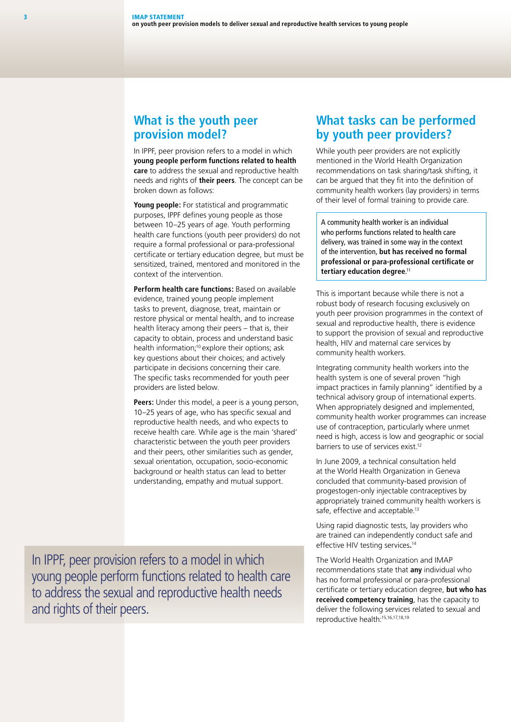#### **What is the youth peer provision model?**

In IPPF, peer provision refers to a model in which **young people perform functions related to health care** to address the sexual and reproductive health needs and rights of **their peers**. The concept can be broken down as follows:

**Young people:** For statistical and programmatic purposes, IPPF defines young people as those between 10–25 years of age. Youth performing health care functions (youth peer providers) do not require a formal professional or para‑professional certificate or tertiary education degree, but must be sensitized, trained, mentored and monitored in the context of the intervention.

**Perform health care functions: Based on available** evidence, trained young people implement tasks to prevent, diagnose, treat, maintain or restore physical or mental health, and to increase health literacy among their peers – that is, their capacity to obtain, process and understand basic health information;<sup>10</sup> explore their options; ask key questions about their choices; and actively participate in decisions concerning their care. The specific tasks recommended for youth peer providers are listed below.

**Peers:** Under this model, a peer is a young person, 10–25 years of age, who has specific sexual and reproductive health needs, and who expects to receive health care. While age is the main 'shared' characteristic between the youth peer providers and their peers, other similarities such as gender, sexual orientation, occupation, socio-economic background or health status can lead to better understanding, empathy and mutual support.

**What tasks can be performed by youth peer providers?**

While youth peer providers are not explicitly mentioned in the World Health Organization recommendations on task sharing/task shifting, it can be argued that they fit into the definition of community health workers (lay providers) in terms of their level of formal training to provide care.

A community health worker is an individual who performs functions related to health care delivery, was trained in some way in the context of the intervention, **but has received no formal professional or para‑professional certificate or tertiary education degree**. 11

This is important because while there is not a robust body of research focusing exclusively on youth peer provision programmes in the context of sexual and reproductive health, there is evidence to support the provision of sexual and reproductive health, HIV and maternal care services by community health workers.

Integrating community health workers into the health system is one of several proven "high impact practices in family planning" identified by a technical advisory group of international experts. When appropriately designed and implemented, community health worker programmes can increase use of contraception, particularly where unmet need is high, access is low and geographic or social barriers to use of services exist.<sup>12</sup>

In June 2009, a technical consultation held at the World Health Organization in Geneva concluded that community‑based provision of progestogen‑only injectable contraceptives by appropriately trained community health workers is safe, effective and acceptable.<sup>13</sup>

Using rapid diagnostic tests, lay providers who are trained can independently conduct safe and effective HIV testing services**.** 14

The World Health Organization and IMAP recommendations state that **any** individual who has no formal professional or para‑professional certificate or tertiary education degree, **but who has received competency training**, has the capacity to deliver the following services related to sexual and reproductive health:15,16,17,18,19

In IPPF, peer provision refers to a model in which young people perform functions related to health care to address the sexual and reproductive health needs and rights of their peers.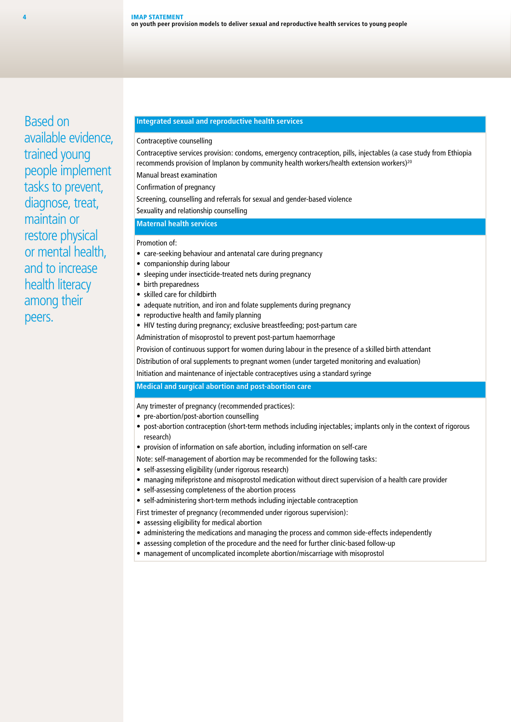Based on available evidence, trained young people implement tasks to prevent, diagnose, treat, maintain or restore physical or mental health, and to increase health literacy among their peers.

#### **Integrated sexual and reproductive health services**

#### Contraceptive counselling

Contraceptive services provision: condoms, emergency contraception, pills, injectables (a case study from Ethiopia recommends provision of Implanon by community health workers/health extension workers)<sup>20</sup>

Manual breast examination

Confirmation of pregnancy

Screening, counselling and referrals for sexual and gender-based violence

Sexuality and relationship counselling

#### **Maternal health services**

Promotion of:

- care-seeking behaviour and antenatal care during pregnancy
- companionship during labour
- sleeping under insecticide-treated nets during pregnancy
- birth preparedness
- skilled care for childbirth
- adequate nutrition, and iron and folate supplements during pregnancy
- reproductive health and family planning
- HIV testing during pregnancy; exclusive breastfeeding; post-partum care

Administration of misoprostol to prevent post-partum haemorrhage

Provision of continuous support for women during labour in the presence of a skilled birth attendant

Distribution of oral supplements to pregnant women (under targeted monitoring and evaluation)

Initiation and maintenance of injectable contraceptives using a standard syringe

#### **Medical and surgical abortion and post‑abortion care**

Any trimester of pregnancy (recommended practices):

- pre-abortion/post-abortion counselling
- post-abortion contraception (short-term methods including injectables; implants only in the context of rigorous research)
- provision of information on safe abortion, including information on self-care

Note: self-management of abortion may be recommended for the following tasks:

- self-assessing eligibility (under rigorous research)
- managing mifepristone and misoprostol medication without direct supervision of a health care provider
- self-assessing completeness of the abortion process
- self-administering short-term methods including injectable contraception

First trimester of pregnancy (recommended under rigorous supervision):

- assessing eligibility for medical abortion
- administering the medications and managing the process and common side-effects independently
- assessing completion of the procedure and the need for further clinic-based follow-up
- management of uncomplicated incomplete abortion/miscarriage with misoprostol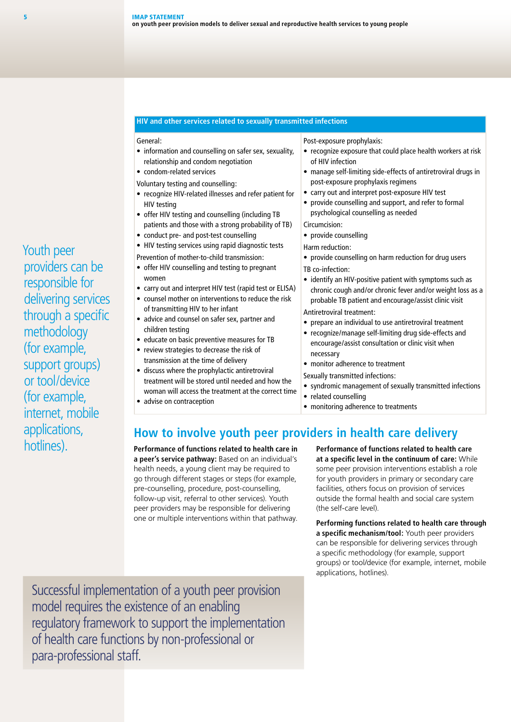#### **HIV and other services related to sexually transmitted infections**

#### General:

- information and counselling on safer sex, sexuality, relationship and condom negotiation
- condom‑related services

Voluntary testing and counselling:

- recognize HIV‑related illnesses and refer patient for HIV testing
- offer HIV testing and counselling (including TB patients and those with a strong probability of TB)
- conduct pre- and post-test counselling
- HIV testing services using rapid diagnostic tests
- Prevention of mother-to-child transmission:
- offer HIV counselling and testing to pregnant women
- carry out and interpret HIV test (rapid test or ELISA)
- counsel mother on interventions to reduce the risk of transmitting HIV to her infant
- advice and counsel on safer sex, partner and children testing
- educate on basic preventive measures for TB
- review strategies to decrease the risk of transmission at the time of delivery
- discuss where the prophylactic antiretroviral treatment will be stored until needed and how the woman will access the treatment at the correct time
- advise on contraception

Post‑exposure prophylaxis:

- recognize exposure that could place health workers at risk of HIV infection
- manage self-limiting side-effects of antiretroviral drugs in post‑exposure prophylaxis regimens
- carry out and interpret post-exposure HIV test
- provide counselling and support, and refer to formal psychological counselling as needed

Circumcision:

• provide counselling

Harm reduction:

- provide counselling on harm reduction for drug users TB co‑infection:
- identify an HIV‑positive patient with symptoms such as chronic cough and/or chronic fever and/or weight loss as a probable TB patient and encourage/assist clinic visit

Antiretroviral treatment:

- prepare an individual to use antiretroviral treatment
- recognize/manage self‑limiting drug side‑effects and encourage/assist consultation or clinic visit when necessary
- monitor adherence to treatment
- Sexually transmitted infections:
- syndromic management of sexually transmitted infections
- related counselling
- monitoring adherence to treatments

### **How to involve youth peer providers in health care delivery**

**Performance of functions related to health care in a peer's service pathway:** Based on an individual's health needs, a young client may be required to go through different stages or steps (for example, pre-counselling, procedure, post-counselling, follow-up visit, referral to other services). Youth peer providers may be responsible for delivering one or multiple interventions within that pathway.

**Performance of functions related to health care at a specific level in the continuum of care:** While some peer provision interventions establish a role for youth providers in primary or secondary care facilities, others focus on provision of services outside the formal health and social care system (the self‑care level).

**Performing functions related to health care through a specific mechanism/tool:** Youth peer providers can be responsible for delivering services through a specific methodology (for example, support groups) or tool/device (for example, internet, mobile applications, hotlines).

Successful implementation of a youth peer provision model requires the existence of an enabling regulatory framework to support the implementation of health care functions by non-professional or para-professional staff.

Youth peer providers can be responsible for delivering services through a specific methodology (for example, support groups) or tool/device (for example, internet, mobile applications, hotlines).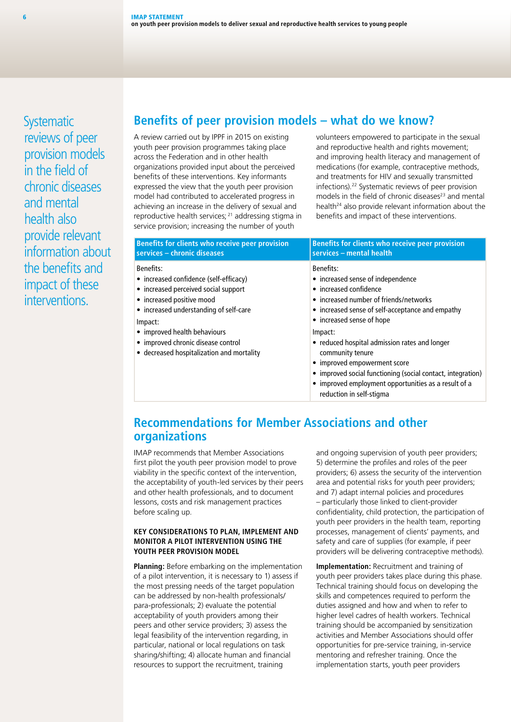**Systematic** reviews of peer provision models in the field of chronic diseases and mental health also provide relevant information about the benefits and impact of these interventions.

### **Benefits of peer provision models – what do we know?**

A review carried out by IPPF in 2015 on existing youth peer provision programmes taking place across the Federation and in other health organizations provided input about the perceived benefits of these interventions. Key informants expressed the view that the youth peer provision model had contributed to accelerated progress in achieving an increase in the delivery of sexual and reproductive health services; 21 addressing stigma in service provision; increasing the number of youth

volunteers empowered to participate in the sexual and reproductive health and rights movement: and improving health literacy and management of medications (for example, contraceptive methods, and treatments for HIV and sexually transmitted infections).22 Systematic reviews of peer provision models in the field of chronic diseases<sup>23</sup> and mental health<sup>24</sup> also provide relevant information about the benefits and impact of these interventions.

| Benefits for clients who receive peer provision                                                                 | Benefits for clients who receive peer provision                                                                                                                                                                                                                 |
|-----------------------------------------------------------------------------------------------------------------|-----------------------------------------------------------------------------------------------------------------------------------------------------------------------------------------------------------------------------------------------------------------|
| services - chronic diseases                                                                                     | services - mental health                                                                                                                                                                                                                                        |
| <b>Benefits:</b>                                                                                                | <b>Benefits:</b>                                                                                                                                                                                                                                                |
| • increased confidence (self-efficacy)                                                                          | • increased sense of independence                                                                                                                                                                                                                               |
| • increased perceived social support                                                                            | • increased confidence                                                                                                                                                                                                                                          |
| • increased positive mood                                                                                       | • increased number of friends/networks                                                                                                                                                                                                                          |
| • increased understanding of self-care                                                                          | • increased sense of self-acceptance and empathy                                                                                                                                                                                                                |
| Impact:                                                                                                         | • increased sense of hope                                                                                                                                                                                                                                       |
| • improved health behaviours<br>• improved chronic disease control<br>• decreased hospitalization and mortality | Impact:<br>• reduced hospital admission rates and longer<br>community tenure<br>• improved empowerment score<br>• improved social functioning (social contact, integration)<br>• improved employment opportunities as a result of a<br>reduction in self-stigma |

### **Recommendations for Member Associations and other organizations**

IMAP recommends that Member Associations first pilot the youth peer provision model to prove viability in the specific context of the intervention, the acceptability of youth-led services by their peers and other health professionals, and to document lessons, costs and risk management practices before scaling up.

#### **KEY CONSIDERATIONS TO PLAN, IMPLEMENT AND MONITOR A PILOT INTERVENTION USING THE YOUTH PEER PROVISION MODEL**

**Planning:** Before embarking on the implementation of a pilot intervention, it is necessary to 1) assess if the most pressing needs of the target population can be addressed by non-health professionals/ para‑professionals; 2) evaluate the potential acceptability of youth providers among their peers and other service providers; 3) assess the legal feasibility of the intervention regarding, in particular, national or local regulations on task sharing/shifting; 4) allocate human and financial resources to support the recruitment, training

and ongoing supervision of youth peer providers; 5) determine the profiles and roles of the peer providers; 6) assess the security of the intervention area and potential risks for youth peer providers; and 7) adapt internal policies and procedures – particularly those linked to client‑provider confidentiality, child protection, the participation of youth peer providers in the health team, reporting processes, management of clients' payments, and safety and care of supplies (for example, if peer providers will be delivering contraceptive methods).

**Implementation:** Recruitment and training of youth peer providers takes place during this phase. Technical training should focus on developing the skills and competences required to perform the duties assigned and how and when to refer to higher level cadres of health workers. Technical training should be accompanied by sensitization activities and Member Associations should offer opportunities for pre‑service training, in‑service mentoring and refresher training. Once the implementation starts, youth peer providers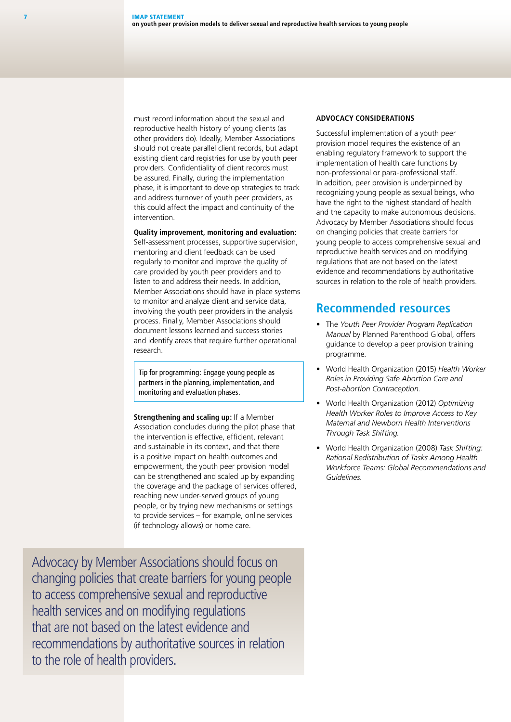must record information about the sexual and reproductive health history of young clients (as other providers do). Ideally, Member Associations should not create parallel client records, but adapt existing client card registries for use by youth peer providers. Confidentiality of client records must be assured. Finally, during the implementation phase, it is important to develop strategies to track and address turnover of youth peer providers, as this could affect the impact and continuity of the intervention.

#### **Quality improvement, monitoring and evaluation:**

Self-assessment processes, supportive supervision, mentoring and client feedback can be used regularly to monitor and improve the quality of care provided by youth peer providers and to listen to and address their needs. In addition, Member Associations should have in place systems to monitor and analyze client and service data, involving the youth peer providers in the analysis process. Finally, Member Associations should document lessons learned and success stories and identify areas that require further operational research.

Tip for programming: Engage young people as partners in the planning, implementation, and monitoring and evaluation phases.

**Strengthening and scaling up:** If a Member Association concludes during the pilot phase that the intervention is effective, efficient, relevant and sustainable in its context, and that there is a positive impact on health outcomes and empowerment, the youth peer provision model can be strengthened and scaled up by expanding the coverage and the package of services offered, reaching new under‑served groups of young people, or by trying new mechanisms or settings to provide services – for example, online services (if technology allows) or home care.

Advocacy by Member Associations should focus on changing policies that create barriers for young people to access comprehensive sexual and reproductive health services and on modifying regulations that are not based on the latest evidence and recommendations by authoritative sources in relation to the role of health providers.

#### **ADVOCACY CONSIDERATIONS**

Successful implementation of a youth peer provision model requires the existence of an enabling regulatory framework to support the implementation of health care functions by non‑professional or para‑professional staff. In addition, peer provision is underpinned by recognizing young people as sexual beings, who have the right to the highest standard of health and the capacity to make autonomous decisions. Advocacy by Member Associations should focus on changing policies that create barriers for young people to access comprehensive sexual and reproductive health services and on modifying regulations that are not based on the latest evidence and recommendations by authoritative sources in relation to the role of health providers.

#### **Recommended resources**

- The *Youth Peer Provider Program Replication Manual* by Planned Parenthood Global, offers guidance to develop a peer provision training programme.
- World Health Organization (2015) *Health Worker Roles in Providing Safe Abortion Care and Post‑abortion Contraception.*
- World Health Organization (2012) *Optimizing Health Worker Roles to Improve Access to Key Maternal and Newborn Health Interventions Through Task Shifting.*
- World Health Organization (2008) *Task Shifting: Rational Redistribution of Tasks Among Health Workforce Teams: Global Recommendations and Guidelines.*